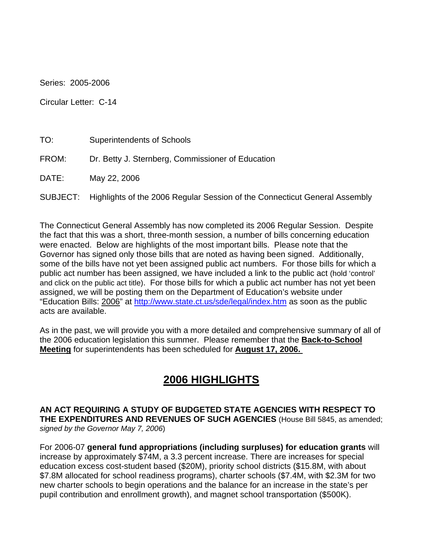Series: 2005-2006

Circular Letter: C-14

| TO:   | <b>Superintendents of Schools</b>                                                   |
|-------|-------------------------------------------------------------------------------------|
| FROM: | Dr. Betty J. Sternberg, Commissioner of Education                                   |
| DATE: | May 22, 2006                                                                        |
|       | SUBJECT: Highlights of the 2006 Regular Session of the Connecticut General Assembly |

The Connecticut General Assembly has now completed its 2006 Regular Session. Despite the fact that this was a short, three-month session, a number of bills concerning education were enacted. Below are highlights of the most important bills. Please note that the Governor has signed only those bills that are noted as having been signed. Additionally, some of the bills have not yet been assigned public act numbers. For those bills for which a public act number has been assigned, we have included a link to the public act (hold 'control' and click on the public act title). For those bills for which a public act number has not yet been assigned, we will be posting them on the Department of Education's website under "Education Bills: 2006" at<http://www.state.ct.us/sde/legal/index.htm> as soon as the public acts are available.

As in the past, we will provide you with a more detailed and comprehensive summary of all of the 2006 education legislation this summer. Please remember that the **Back-to-School Meeting** for superintendents has been scheduled for **August 17, 2006.** 

# **2006 HIGHLIGHTS**

**AN ACT REQUIRING A STUDY OF BUDGETED STATE AGENCIES WITH RESPECT TO THE EXPENDITURES AND REVENUES OF SUCH AGENCIES** (House Bill 5845, as amended; *signed by the Governor May 7, 2006*)

For 2006-07 **general fund appropriations (including surpluses) for education grants** will increase by approximately \$74M, a 3.3 percent increase. There are increases for special education excess cost-student based (\$20M), priority school districts (\$15.8M, with about \$7.8M allocated for school readiness programs), charter schools (\$7.4M, with \$2.3M for two new charter schools to begin operations and the balance for an increase in the state's per pupil contribution and enrollment growth), and magnet school transportation (\$500K).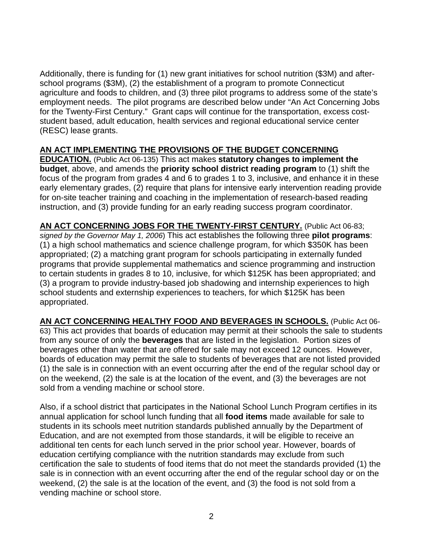Additionally, there is funding for (1) new grant initiatives for school nutrition (\$3M) and afterschool programs (\$3M), (2) the establishment of a program to promote Connecticut agriculture and foods to children, and (3) three pilot programs to address some of the state's employment needs. The pilot programs are described below under "An Act Concerning Jobs for the Twenty-First Century." Grant caps will continue for the transportation, excess coststudent based, adult education, health services and regional educational service center (RESC) lease grants.

### **[AN ACT IMPLEMENTING THE PROVISIONS OF THE BUDGET CONCERNING](http://www.cga.ct.gov/2006/ACT/PA/2006PA-00135-R00HB-05847-PA.htm)**

**[EDUCATION.](http://www.cga.ct.gov/2006/ACT/PA/2006PA-00135-R00HB-05847-PA.htm)** (Public Act 06-135) This act makes **statutory changes to implement the budget**, above, and amends the **priority school district reading program** to (1) shift the focus of the program from grades 4 and 6 to grades 1 to 3, inclusive, and enhance it in these early elementary grades, (2) require that plans for intensive early intervention reading provide for on-site teacher training and coaching in the implementation of research-based reading instruction, and (3) provide funding for an early reading success program coordinator.

**[AN ACT CONCERNING JOBS FOR THE TWENTY-FIRST CENTURY.](http://www.cga.ct.gov/2006/ACT/PA/2006PA-00083-R00SB-00702-PA.htm)** (Public Act 06-83; *signed by the Governor May 1, 2006*) This act establishes the following three **pilot programs**: (1) a high school mathematics and science challenge program, for which \$350K has been appropriated; (2) a matching grant program for schools participating in externally funded programs that provide supplemental mathematics and science programming and instruction to certain students in grades 8 to 10, inclusive, for which \$125K has been appropriated; and (3) a program to provide industry-based job shadowing and internship experiences to high school students and externship experiences to teachers, for which \$125K has been appropriated.

**[AN ACT CONCERNING HEALTHY FOOD AND BEVERAGES IN SCHOOLS.](http://www.cga.ct.gov/2006/ACT/PA/2006PA-00063-R00SB-00373-PA.htm)** (Public Act 06- 63) This act provides that boards of education may permit at their schools the sale to students from any source of only the **beverages** that are listed in the legislation. Portion sizes of beverages other than water that are offered for sale may not exceed 12 ounces. However, boards of education may permit the sale to students of beverages that are not listed provided (1) the sale is in connection with an event occurring after the end of the regular school day or on the weekend, (2) the sale is at the location of the event, and (3) the beverages are not sold from a vending machine or school store.

Also, if a school district that participates in the National School Lunch Program certifies in its annual application for school lunch funding that all **food items** made available for sale to students in its schools meet nutrition standards published annually by the Department of Education, and are not exempted from those standards, it will be eligible to receive an additional ten cents for each lunch served in the prior school year. However, boards of education certifying compliance with the nutrition standards may exclude from such certification the sale to students of food items that do not meet the standards provided (1) the sale is in connection with an event occurring after the end of the regular school day or on the weekend, (2) the sale is at the location of the event, and (3) the food is not sold from a vending machine or school store.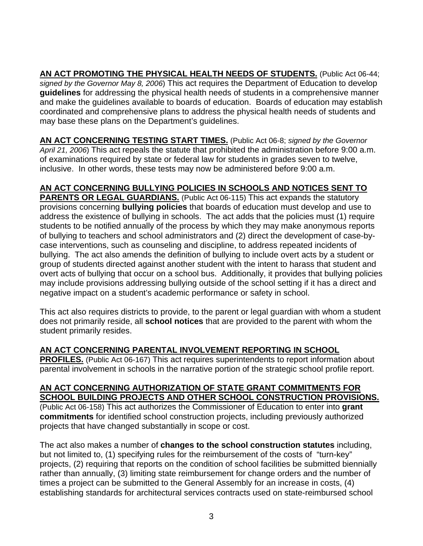**[AN ACT PROMOTING THE PHYSICAL HEALTH NEEDS OF STUDENTS.](http://www.cga.ct.gov/2006/ACT/PA/2006PA-00044-R00SB-00204-PA.htm)** (Public Act 06-44; *signed by the Governor May 8, 2006*) This act requires the Department of Education to develop **guidelines** for addressing the physical health needs of students in a comprehensive manner and make the guidelines available to boards of education. Boards of education may establish coordinated and comprehensive plans to address the physical health needs of students and may base these plans on the Department's guidelines.

**[AN ACT CONCERNING TESTING START TIMES.](http://www.cga.ct.gov/2006/ACT/PA/2006PA-00008-R00SB-00384-PA.htm)** (Public Act 06-8; *signed by the Governor April 21, 2006*) This act repeals the statute that prohibited the administration before 9:00 a.m. of examinations required by state or federal law for students in grades seven to twelve, inclusive. In other words, these tests may now be administered before 9:00 a.m.

### **[AN ACT CONCERNING BULLYING POLICIES IN SCHOOLS AND NOTICES SENT TO](http://www.cga.ct.gov/2006/ACT/PA/2006PA-00115-R00HB-05563-PA.htm)**

**[PARENTS OR LEGAL GUARDIANS.](http://www.cga.ct.gov/2006/ACT/PA/2006PA-00115-R00HB-05563-PA.htm)** (Public Act 06-115) This act expands the statutory provisions concerning **bullying policies** that boards of education must develop and use to address the existence of bullying in schools. The act adds that the policies must (1) require students to be notified annually of the process by which they may make anonymous reports of bullying to teachers and school administrators and (2) direct the development of case-bycase interventions, such as counseling and discipline, to address repeated incidents of bullying. The act also amends the definition of bullying to include overt acts by a student or group of students directed against another student with the intent to harass that student and overt acts of bullying that occur on a school bus. Additionally, it provides that bullying policies may include provisions addressing bullying outside of the school setting if it has a direct and negative impact on a student's academic performance or safety in school.

This act also requires districts to provide, to the parent or legal guardian with whom a student does not primarily reside, all **school notices** that are provided to the parent with whom the student primarily resides.

## **[AN ACT CONCERNING PARENTAL INVOLVEMENT REPORTING IN SCHOOL](http://www.cga.ct.gov/2006/ACT/PA/2006PA-00167-R00HB-05513-PA.htm)**

**[PROFILES.](http://www.cga.ct.gov/2006/ACT/PA/2006PA-00167-R00HB-05513-PA.htm)** (Public Act 06-167) This act requires superintendents to report information about parental involvement in schools in the narrative portion of the strategic school profile report.

#### **[AN ACT CONCERNING AUTHORIZATION OF STATE GRANT COMMITMENTS FOR](http://www.cga.ct.gov/2006/ACT/PA/2006PA-00158-R00SB-00636-PA.htm)  [SCHOOL BUILDING PROJECTS AND OTHER SCHOOL CONSTRUCTION PROVISIONS.](http://www.cga.ct.gov/2006/ACT/PA/2006PA-00158-R00SB-00636-PA.htm)**

(Public Act 06-158) This act authorizes the Commissioner of Education to enter into **grant commitments** for identified school construction projects, including previously authorized projects that have changed substantially in scope or cost.

The act also makes a number of **changes to the school construction statutes** including, but not limited to, (1) specifying rules for the reimbursement of the costs of "turn-key" projects, (2) requiring that reports on the condition of school facilities be submitted biennially rather than annually, (3) limiting state reimbursement for change orders and the number of times a project can be submitted to the General Assembly for an increase in costs, (4) establishing standards for architectural services contracts used on state-reimbursed school